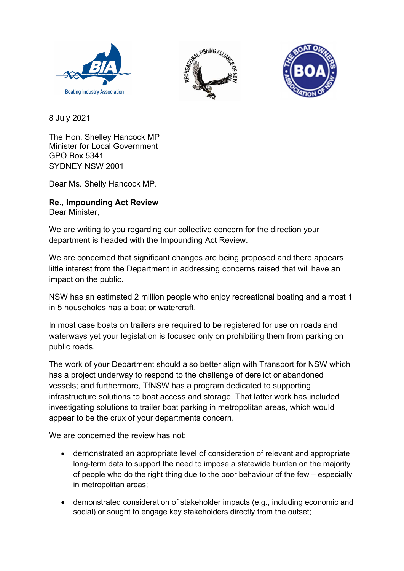





8 July 2021

The Hon. Shelley Hancock MP Minister for Local Government GPO Box 5341 SYDNEY NSW 2001

Dear Ms. Shelly Hancock MP.

## Re., Impounding Act Review

Dear Minister,

We are writing to you regarding our collective concern for the direction your department is headed with the Impounding Act Review.

We are concerned that significant changes are being proposed and there appears little interest from the Department in addressing concerns raised that will have an impact on the public.

NSW has an estimated 2 million people who enjoy recreational boating and almost 1 in 5 households has a boat or watercraft.

In most case boats on trailers are required to be registered for use on roads and waterways yet your legislation is focused only on prohibiting them from parking on public roads.

The work of your Department should also better align with Transport for NSW which has a project underway to respond to the challenge of derelict or abandoned vessels; and furthermore, TfNSW has a program dedicated to supporting infrastructure solutions to boat access and storage. That latter work has included investigating solutions to trailer boat parking in metropolitan areas, which would appear to be the crux of your departments concern.

We are concerned the review has not:

- demonstrated an appropriate level of consideration of relevant and appropriate long-term data to support the need to impose a statewide burden on the majority of people who do the right thing due to the poor behaviour of the few – especially in metropolitan areas;
- demonstrated consideration of stakeholder impacts (e.g., including economic and social) or sought to engage key stakeholders directly from the outset;